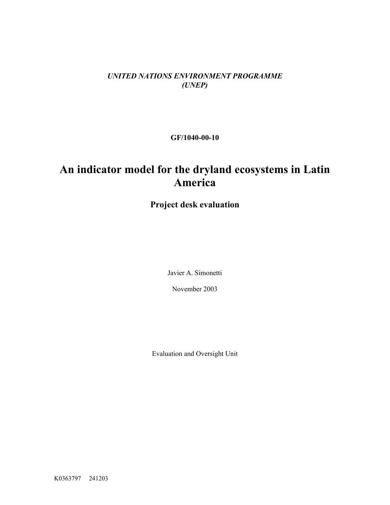*UNITED NATIONS ENVIRONMENT PROGRAMME (UNEP)*

**GF/1040-00-10** 

# **An indicator model for the dryland ecosystems in Latin America**

**Project desk evaluation**

Javier A. Simonetti

November 2003

Evaluation and Oversight Unit

K0363797 241203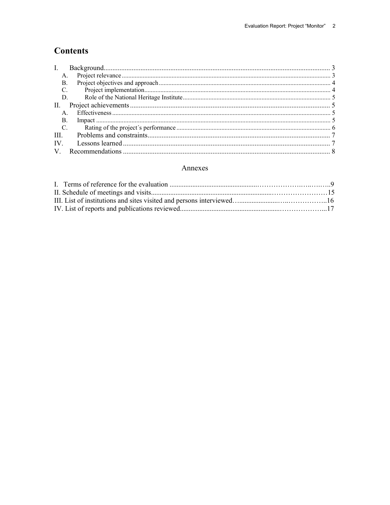# **Contents**

| B.                |    |  |
|-------------------|----|--|
| C.                |    |  |
|                   | D. |  |
|                   |    |  |
|                   |    |  |
| В.                |    |  |
| $C_{\cdot}$       |    |  |
| III.              |    |  |
| $\mathbf{IV}_{-}$ |    |  |
|                   |    |  |

#### Annexes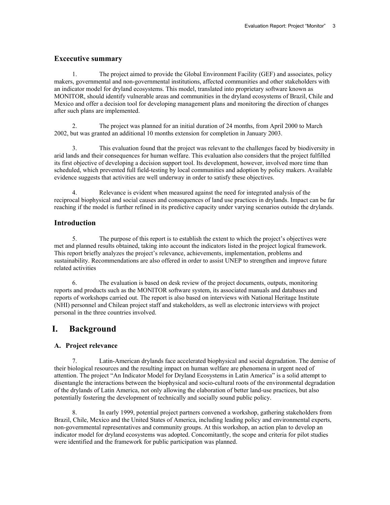#### **Excecutive summary**

1. The project aimed to provide the Global Environment Facility (GEF) and associates, policy makers, governmental and non-governmental institutions, affected communities and other stakeholders with an indicator model for dryland ecosystems. This model, translated into proprietary software known as MONITOR, should identify vulnerable areas and communities in the dryland ecosystems of Brazil, Chile and Mexico and offer a decision tool for developing management plans and monitoring the direction of changes after such plans are implemented.

2. The project was planned for an initial duration of 24 months, from April 2000 to March 2002, but was granted an additional 10 months extension for completion in January 2003.

3. This evaluation found that the project was relevant to the challenges faced by biodiversity in arid lands and their consequences for human welfare. This evaluation also considers that the project fulfilled its first objective of developing a decision support tool. Its development, however, involved more time than scheduled, which prevented full field-testing by local communities and adoption by policy makers. Available evidence suggests that activities are well underway in order to satisfy these objectives.

4. Relevance is evident when measured against the need for integrated analysis of the reciprocal biophysical and social causes and consequences of land use practices in drylands. Impact can be far reaching if the model is further refined in its predictive capacity under varying scenarios outside the drylands.

#### **Introduction**

5. The purpose of this report is to establish the extent to which the project's objectives were met and planned results obtained, taking into account the indicators listed in the project logical framework. This report briefly analyzes the project's relevance, achievements, implementation, problems and sustainability. Recommendations are also offered in order to assist UNEP to strengthen and improve future related activities

6. The evaluation is based on desk review of the project documents, outputs, monitoring reports and products such as the MONITOR software system, its associated manuals and databases and reports of workshops carried out. The report is also based on interviews with National Heritage Institute (NHI) personnel and Chilean project staff and stakeholders, as well as electronic interviews with project personal in the three countries involved.

# <span id="page-2-0"></span>**I. Background**

#### <span id="page-2-1"></span>**A. Project relevance**

7. Latin-American drylands face accelerated biophysical and social degradation. The demise of their biological resources and the resulting impact on human welfare are phenomena in urgent need of attention. The project "An Indicator Model for Dryland Ecosystems in Latin America" is a solid attempt to disentangle the interactions between the biophysical and socio-cultural roots of the environmental degradation of the drylands of Latin America, not only allowing the elaboration of better land-use practices, but also potentially fostering the development of technically and socially sound public policy.

8. In early 1999, potential project partners convened a workshop, gathering stakeholders from Brazil, Chile, Mexico and the United States of America, including leading policy and environmental experts, non-governmental representatives and community groups. At this workshop, an action plan to develop an indicator model for dryland ecosystems was adopted. Concomitantly, the scope and criteria for pilot studies were identified and the framework for public participation was planned.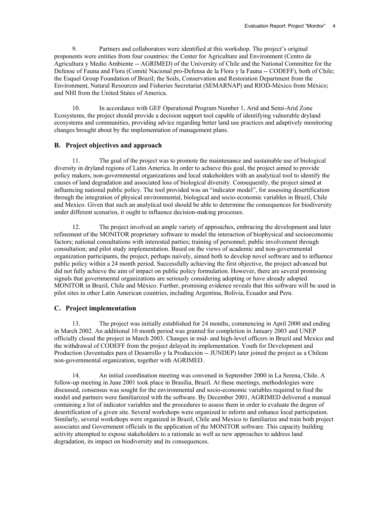9. Partners and collaborators were identified at this workshop. The project's original proponents were entities from four countries: the Center for Agriculture and Environment (Centro de Agricultura y Medio Ambiente -- AGRIMED) of the University of Chile and the National Committee for the Defense of Fauna and Flora (Comité Nacional pro-Defensa de la Flora y la Fauna -- CODEFF), both of Chile; the Esquel Group Foundation of Brazil; the Soils, Conservation and Restoration Department from the Environment, Natural Resources and Fisheries Secretariat (SEMARNAP) and RIOD-México from México; and NHI from the United States of America.

10. In accordance with GEF Operational Program Number 1, Arid and Semi-Arid Zone Ecosystems, the project should provide a decision support tool capable of identifying vulnerable dryland ecosystems and communities, providing advice regarding better land use practices and adaptively monitoring changes brought about by the implementation of management plans.

#### <span id="page-3-0"></span>**B. Project objectives and approach**

11. The goal of the project was to promote the maintenance and sustainable use of biological diversity in dryland regions of Latin America. In order to achieve this goal, the project aimed to provide policy makers, non-governmental organizations and local stakeholders with an analytical tool to identify the causes of land degradation and associated loss of biological diversity. Consequently, the project aimed at influencing national public policy. The tool provided was an "indicator model", for assessing desertification through the integration of physical environmental, biological and socio-economic variables in Brazil, Chile and Mexico. Given that such an analytical tool should be able to determine the consequences for biodiversity under different scenarios, it ought to influence decision-making processes.

12. The project involved an ample variety of approaches, embracing the development and later refinement of the MONITOR proprietary software to model the interaction of biophysical and socioeconomic factors; national consultations with interested parties; training of personnel; public involvement through consultation; and pilot study implementation. Based on the views of academic and non-governmental organization participants, the project, perhaps naively, aimed both to develop novel software and to influence public policy within a 24 month period. Successfully achieving the first objective, the project advanced but did not fully achieve the aim of impact on public policy formulation. However, there are several promising signals that governmental organizations are seriously considering adopting or have already adopted MONITOR in Brazil, Chile and México. Further, promising evidence reveals that this software will be used in pilot sites in other Latin American countries, including Argentina, Bolivia, Ecuador and Peru.

#### <span id="page-3-1"></span>**C. Project implementation**

13. The project was initially established for 24 months, commencing in April 2000 and ending in March 2002. An additional 10 month period was granted for completion in January 2003 and UNEP officially closed the project in March 2003. Changes in mid- and high-level officers in Brazil and Mexico and the withdrawal of CODEFF from the project delayed its implementation. Youth for Development and Production (Juventudes para el Desarrollo y la Producción -- JUNDEP) later joined the project as a Chilean non-governmental organization, together with AGRIMED.

14. An initial coordination meeting was convened in September 2000 in La Serena, Chile. A follow-up meeting in June 2001 took place in Brasilia, Brazil. At these meetings, methodologies were discussed, consensus was sought for the environmental and socio-economic variables required to feed the model and partners were familiarized with the software. By December 2001, AGRIMED delivered a manual containing a list of indicator variables and the procedures to assess them in order to evaluate the degree of desertification of a given site. Several workshops were organized to inform and enhance local participation. Similarly, several workshops were organized in Brazil, Chile and Mexico to familiarize and train both project associates and Government officials in the application of the MONITOR software. This capacity building activity attempted to expose stakeholders to a rationale as well as new approaches to address land degradation, its impact on biodiversity and its consequences.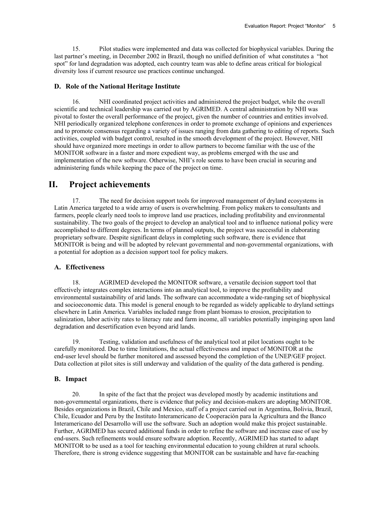15. Pilot studies were implemented and data was collected for biophysical variables. During the last partner's meeting, in December 2002 in Brazil, though no unified definition of what constitutes a "hot spot" for land degradation was adopted, each country team was able to define areas critical for biological diversity loss if current resource use practices continue unchanged.

#### <span id="page-4-0"></span>**D. Role of the National Heritage Institute**

16. NHI coordinated project activities and administered the project budget, while the overall scientific and technical leadership was carried out by AGRIMED. A central administration by NHI was pivotal to foster the overall performance of the project, given the number of countries and entities involved. NHI periodically organized telephone conferences in order to promote exchange of opinions and experiences and to promote consensus regarding a variety of issues ranging from data gathering to editing of reports. Such activities, coupled with budget control, resulted in the smooth development of the project. However, NHI should have organized more meetings in order to allow partners to become familiar with the use of the MONITOR software in a faster and more expedient way, as problems emerged with the use and implementation of the new software. Otherwise, NHI's role seems to have been crucial in securing and administering funds while keeping the pace of the project on time.

#### <span id="page-4-1"></span>**II. Project achievements**

17. The need for decision support tools for improved management of dryland ecosystems in Latin America targeted to a wide array of users is overwhelming. From policy makers to consultants and farmers, people clearly need tools to improve land use practices, including profitability and environmental sustainability. The two goals of the project to develop an analytical tool and to influence national policy were accomplished to different degrees. In terms of planned outputs, the project was successful in elaborating proprietary software. Despite significant delays in completing such software, there is evidence that MONITOR is being and will be adopted by relevant governmental and non-governmental organizations, with a potential for adoption as a decision support tool for policy makers.

#### <span id="page-4-2"></span>**A. Effectiveness**

18. AGRIMED developed the MONITOR software, a versatile decision support tool that effectively integrates complex interactions into an analytical tool, to improve the profitability and environmental sustainability of arid lands. The software can accommodate a wide-ranging set of biophysical and socioeconomic data. This model is general enough to be regarded as widely applicable to dryland settings elsewhere in Latin America. Variables included range from plant biomass to erosion, precipitation to salinization, labor activity rates to literacy rate and farm income, all variables potentially impinging upon land degradation and desertification even beyond arid lands.

19. Testing, validation and usefulness of the analytical tool at pilot locations ought to be carefully monitored. Due to time limitations, the actual effectiveness and impact of MONITOR at the end-user level should be further monitored and assessed beyond the completion of the UNEP/GEF project. Data collection at pilot sites is still underway and validation of the quality of the data gathered is pending.

#### <span id="page-4-3"></span>**B. Impact**

20. In spite of the fact that the project was developed mostly by academic institutions and non-governmental organizations, there is evidence that policy and decision-makers are adopting MONITOR. Besides organizations in Brazil, Chile and Mexico, staff of a project carried out in Argentina, Bolivia, Brazil, Chile, Ecuador and Peru by the Instituto Interamericano de Cooperación para la Agricultura and the Banco Interamericano del Desarrollo will use the software. Such an adoption would make this project sustainable. Further, AGRIMED has secured additional funds in order to refine the software and increase ease of use by end-users. Such refinements would ensure software adoption. Recently, AGRIMED has started to adapt MONITOR to be used as a tool for teaching environmental education to young children at rural schools. Therefore, there is strong evidence suggesting that MONITOR can be sustainable and have far-reaching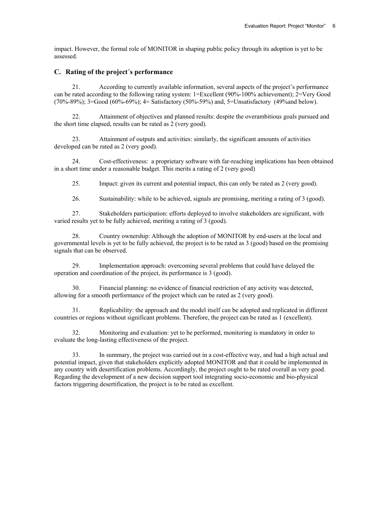impact. However, the formal role of MONITOR in shaping public policy through its adoption is yet to be assessed.

#### <span id="page-5-0"></span>**C. Rating of the project´s performance**

21. According to currently available information, several aspects of the project's performance can be rated according to the following rating system: 1=Excellent (90%-100% achievement); 2=Very Good (70%-89%); 3=Good (60%-69%); 4= Satisfactory (50%-59%) and, 5=Unsatisfactory (49%and below).

22. Attainment of objectives and planned results: despite the overambitious goals pursued and the short time elapsed, results can be rated as 2 (very good).

23. Attainment of outputs and activities: similarly, the significant amounts of activities developed can be rated as 2 (very good).

24. Cost-effectiveness: a proprietary software with far-reaching implications has been obtained in a short time under a reasonable budget. This merits a rating of 2 (very good)

25. Impact: given its current and potential impact, this can only be rated as 2 (very good).

26. Sustainability: while to be achieved, signals are promising, meriting a rating of 3 (good).

27. Stakeholders participation: efforts deployed to involve stakeholders are significant, with varied results yet to be fully achieved, meriting a rating of 3 (good).

28. Country ownership: Although the adoption of MONITOR by end-users at the local and governmental levels is yet to be fully achieved, the project is to be rated as 3 (good) based on the promising signals that can be observed.

29. Implementation approach: overcoming several problems that could have delayed the operation and coordination of the project, its performance is 3 (good).

30. Financial planning: no evidence of financial restriction of any activity was detected, allowing for a smooth performance of the project which can be rated as 2 (very good).

31. Replicability: the approach and the model itself can be adopted and replicated in different countries or regions without significant problems. Therefore, the project can be rated as 1 (excellent).

32. Monitoring and evaluation: yet to be performed, monitoring is mandatory in order to evaluate the long-lasting effectiveness of the project.

33. In summary, the project was carried out in a cost-effective way, and had a high actual and potential impact, given that stakeholders explicitly adopted MONITOR and that it could be implemented in any country with desertification problems. Accordingly, the project ought to be rated overall as very good. Regarding the development of a new decision support tool integrating socio-economic and bio-physical factors triggering desertification, the project is to be rated as excellent.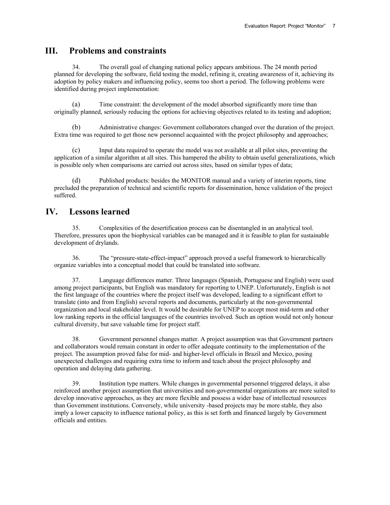### <span id="page-6-0"></span>**III. Problems and constraints**

34. The overall goal of changing national policy appears ambitious. The 24 month period planned for developing the software, field testing the model, refining it, creating awareness of it, achieving its adoption by policy makers and influencing policy, seems too short a period. The following problems were identified during project implementation:

(a) Time constraint: the development of the model absorbed significantly more time than originally planned, seriously reducing the options for achieving objectives related to its testing and adoption;

(b) Administrative changes: Government collaborators changed over the duration of the project. Extra time was required to get those new personnel acquainted with the project philosophy and approaches;

(c) Input data required to operate the model was not available at all pilot sites, preventing the application of a similar algorithm at all sites. This hampered the ability to obtain useful generalizations, which is possible only when comparisons are carried out across sites, based on similar types of data;

(d) Published products: besides the MONITOR manual and a variety of interim reports, time precluded the preparation of technical and scientific reports for dissemination, hence validation of the project suffered.

### <span id="page-6-1"></span>**IV. Lessons learned**

35. Complexities of the desertification process can be disentangled in an analytical tool. Therefore, pressures upon the biophysical variables can be managed and it is feasible to plan for sustainable development of drylands.

36. The "pressure-state-effect-impact" approach proved a useful framework to hierarchically organize variables into a conceptual model that could be translated into software.

37. Language differences matter. Three languages (Spanish, Portuguese and English) were used among project participants, but English was mandatory for reporting to UNEP. Unfortunately, English is not the first language of the countries where the project itself was developed, leading to a significant effort to translate (into and from English) several reports and documents, particularly at the non-governmental organization and local stakeholder level. It would be desirable for UNEP to accept most mid-term and other low ranking reports in the official languages of the countries involved. Such an option would not only honour cultural diversity, but save valuable time for project staff.

38. Government personnel changes matter. A project assumption was that Government partners and collaborators would remain constant in order to offer adequate continuity to the implementation of the project. The assumption proved false for mid- and higher-level officials in Brazil and Mexico, posing unexpected challenges and requiring extra time to inform and teach about the project philosophy and operation and delaying data gathering.

39. Institution type matters. While changes in governmental personnel triggered delays, it also reinforced another project assumption that universities and non-governmental organizations are more suited to develop innovative approaches, as they are more flexible and possess a wider base of intellectual resources than Government institutions. Conversely, while university -based projects may be more stable, they also imply a lower capacity to influence national policy, as this is set forth and financed largely by Government officials and entities.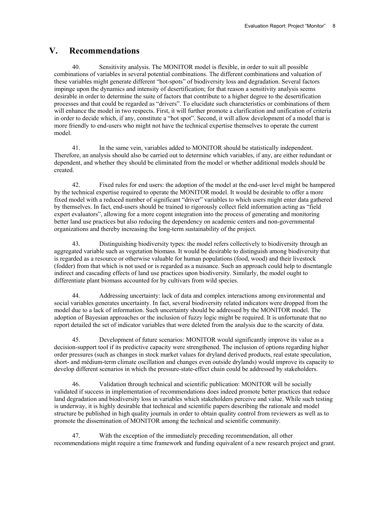#### <span id="page-7-0"></span>**V. Recommendations**

40. Sensitivity analysis. The MONITOR model is flexible, in order to suit all possible combinations of variables in several potential combinations. The different combinations and valuation of these variables might generate different "hot-spots" of biodiversity loss and degradation. Several factors impinge upon the dynamics and intensity of desertification; for that reason a sensitivity analysis seems desirable in order to determine the suite of factors that contribute to a higher degree to the desertification processes and that could be regarded as "drivers". To elucidate such characteristics or combinations of them will enhance the model in two respects. First, it will further promote a clarification and unification of criteria in order to decide which, if any, constitute a "hot spot". Second, it will allow development of a model that is more friendly to end-users who might not have the technical expertise themselves to operate the current model.

41. In the same vein, variables added to MONITOR should be statistically independent. Therefore, an analysis should also be carried out to determine which variables, if any, are either redundant or dependent, and whether they should be eliminated from the model or whether additional models should be created.

42. Fixed rules for end users: the adoption of the model at the end-user level might be hampered by the technical expertise required to operate the MONITOR model. It would be desirable to offer a more fixed model with a reduced number of significant "driver" variables to which users might enter data gathered by themselves. In fact, end-users should be trained to rigorously collect field information acting as "field expert evaluators", allowing for a more cogent integration into the process of generating and monitoring better land use practices but also reducing the dependency on academic centers and non-governmental organizations and thereby increasing the long-term sustainability of the project.

43. Distinguishing biodiversity types: the model refers collectively to biodiversity through an aggregated variable such as vegetation biomass. It would be desirable to distinguish among biodiversity that is regarded as a resource or otherwise valuable for human populations (food, wood) and their livestock (fodder) from that which is not used or is regarded as a nuisance. Such an approach could help to disentangle indirect and cascading effects of land use practices upon biodiversity. Similarly, the model ought to differentiate plant biomass accounted for by cultivars from wild species.

44. Addressing uncertainty: lack of data and complex interactions among environmental and social variables generates uncertainty. In fact, several biodiversity related indicators were dropped from the model due to a lack of information. Such uncertainty should be addressed by the MONITOR model. The adoption of Bayesian approaches or the inclusion of fuzzy logic might be required. It is unfortunate that no report detailed the set of indicator variables that were deleted from the analysis due to the scarcity of data.

45. Development of future scenarios: MONITOR would significantly improve its value as a decision-support tool if its predictive capacity were strengthened. The inclusion of options regarding higher order pressures (such as changes in stock market values for dryland derived products, real estate speculation, short- and médium-term climate oscillation and changes even outside drylands) would improve its capacity to develop different scenarios in which the pressure-state-effect chain could be addressed by stakeholders.

46. Validation through technical and scientific publication: MONITOR will be socially validated if success in implementation of recommendations does indeed promote better practices that reduce land degradation and biodiversity loss in variables which stakeholders perceive and value. While such testing is underway, it is highly desirable that technical and scientific papers describing the rationale and model structure be published in high quality journals in order to obtain quality control from reviewers as well as to promote the dissemination of MONITOR among the technical and scientific community.

47. With the exception of the immediately preceding recommendation, all other recommendations might require a time framework and funding equivalent of a new research project and grant.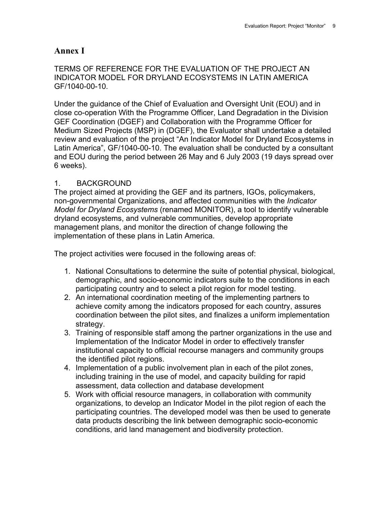### **Annex I**

### TERMS OF REFERENCE FOR THE EVALUATION OF THE PROJECT AN INDICATOR MODEL FOR DRYLAND ECOSYSTEMS IN LATIN AMERICA GF/1040-00-10.

Under the guidance of the Chief of Evaluation and Oversight Unit (EOU) and in close co-operation With the Programme Officer, Land Degradation in the Division GEF Coordination (DGEF) and Collaboration with the Programme Officer for Medium Sized Projects (MSP) in (DGEF), the Evaluator shall undertake a detailed review and evaluation of the project "An Indicator Model for Dryland Ecosystems in Latin America", GF/1040-00-10. The evaluation shall be conducted by a consultant and EOU during the period between 26 May and 6 July 2003 (19 days spread over 6 weeks).

#### 1. BACKGROUND

The project aimed at providing the GEF and its partners, IGOs, policymakers, non-governmental Organizations, and affected communities with the *Indicator Model for Dryland Ecosystems* (renamed MONITOR), a tool to identify vulnerable dryland ecosystems, and vulnerable communities, develop appropriate management plans, and monitor the direction of change following the implementation of these plans in Latin America.

The project activities were focused in the following areas of:

- 1. National Consultations to determine the suite of potential physical, biological, demographic, and socio-economic indicators suite to the conditions in each participating country and to select a pilot region for model testing.
- 2. An international coordination meeting of the implementing partners to achieve comity among the indicators proposed for each country, assures coordination between the pilot sites, and finalizes a uniform implementation strategy.
- 3. Training of responsible staff among the partner organizations in the use and Implementation of the Indicator Model in order to effectively transfer institutional capacity to official recourse managers and community groups the identified pilot regions.
- 4. Implementation of a public involvement plan in each of the pilot zones, including training in the use of model, and capacity building for rapid assessment, data collection and database development
- 5. Work with official resource managers, in collaboration with community organizations, to develop an Indicator Model in the pilot region of each the participating countries. The developed model was then be used to generate data products describing the link between demographic socio-economic conditions, arid land management and biodiversity protection.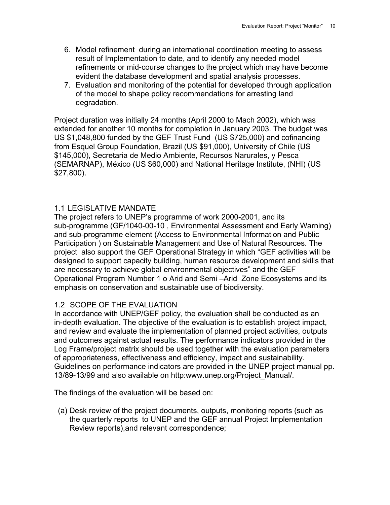- 6. Model refinement during an international coordination meeting to assess result of Implementation to date, and to identify any needed model refinements or mid-course changes to the project which may have become evident the database development and spatial analysis processes.
- 7. Evaluation and monitoring of the potential for developed through application of the model to shape policy recommendations for arresting land degradation.

Project duration was initially 24 months (April 2000 to Mach 2002), which was extended for another 10 months for completion in January 2003. The budget was US \$1,048,800 funded by the GEF Trust Fund (US \$725,000) and cofinancing from Esquel Group Foundation, Brazil (US \$91,000), University of Chile (US \$145,000), Secretaria de Medio Ambiente, Recursos Narurales, y Pesca (SEMARNAP), México (US \$60,000) and National Heritage Institute, (NHI) (US \$27,800).

### 1.1 LEGISLATIVE MANDATE

The project refers to UNEP's programme of work 2000-2001, and its sub-programme (GF/1040-00-10 , Environmental Assessment and Early Warning) and sub-programme element (Access to Environmental Information and Public Participation ) on Sustainable Management and Use of Natural Resources. The project also support the GEF Operational Strategy in which "GEF activities will be designed to support capacity building, human resource development and skills that are necessary to achieve global environmental objectives" and the GEF Operational Program Number 1 o Arid and Semi –Arid Zone Ecosystems and its emphasis on conservation and sustainable use of biodiversity.

### 1.2 SCOPE OF THE EVALUATION

In accordance with UNEP/GEF policy, the evaluation shall be conducted as an in-depth evaluation. The objective of the evaluation is to establish project impact, and review and evaluate the implementation of planned project activities, outputs and outcomes against actual results. The performance indicators provided in the Log Frame/project matrix should be used together with the evaluation parameters of appropriateness, effectiveness and efficiency, impact and sustainability. Guidelines on performance indicators are provided in the UNEP project manual pp. 13/89-13/99 and also available on http:www.unep.org/Project\_Manual/.

The findings of the evaluation will be based on:

(a) Desk review of the project documents, outputs, monitoring reports (such as the quarterly reports to UNEP and the GEF annual Project Implementation Review reports),and relevant correspondence;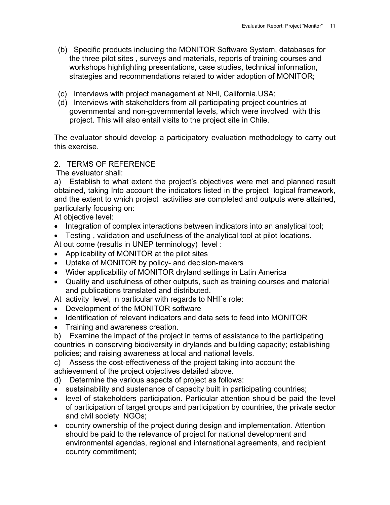- (b) Specific products including the MONITOR Software System, databases for the three pilot sites , surveys and materials, reports of training courses and workshops highlighting presentations, case studies, technical information, strategies and recommendations related to wider adoption of MONITOR;
- (c) Interviews with project management at NHI, California,USA;
- (d) Interviews with stakeholders from all participating project countries at governmental and non-governmental levels, which were involved with this project. This will also entail visits to the project site in Chile.

The evaluator should develop a participatory evaluation methodology to carry out this exercise.

### 2. TERMS OF REFERENCE

The evaluator shall:

a) Establish to what extent the project's objectives were met and planned result obtained, taking Into account the indicators listed in the project logical framework, and the extent to which project activities are completed and outputs were attained, particularly focusing on:

At objective level:

- Integration of complex interactions between indicators into an analytical tool;
- Testing , validation and usefulness of the analytical tool at pilot locations.

At out come (results in UNEP terminology) level :

- Applicability of MONITOR at the pilot sites
- Uptake of MONITOR by policy- and decision-makers
- Wider applicability of MONITOR dryland settings in Latin America
- Quality and usefulness of other outputs, such as training courses and material and publications translated and distributed.
- At activity level, in particular with regards to NHI´s role:
- Development of the MONITOR software
- Identification of relevant indicators and data sets to feed into MONITOR
- Training and awareness creation.
- b) Examine the impact of the project in terms of assistance to the participating countries in conserving biodiversity in drylands and building capacity; establishing policies; and raising awareness at local and national levels.

c) Assess the cost-effectiveness of the project taking into account the achievement of the project objectives detailed above.

- d) Determine the various aspects of project as follows:
- sustainability and sustenance of capacity built in participating countries;
- level of stakeholders participation. Particular attention should be paid the level of participation of target groups and participation by countries, the private sector and civil society NGOs;
- country ownership of the project during design and implementation. Attention should be paid to the relevance of project for national development and environmental agendas, regional and international agreements, and recipient country commitment;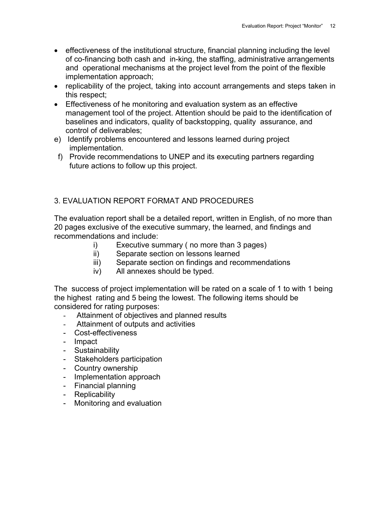- effectiveness of the institutional structure, financial planning including the level of co-financing both cash and in-king, the staffing, administrative arrangements and operational mechanisms at the project level from the point of the flexible implementation approach;
- replicability of the project, taking into account arrangements and steps taken in this respect;
- Effectiveness of he monitoring and evaluation system as an effective management tool of the project. Attention should be paid to the identification of baselines and indicators, quality of backstopping, quality assurance, and control of deliverables;
- e) Identify problems encountered and lessons learned during project implementation.
- f) Provide recommendations to UNEP and its executing partners regarding future actions to follow up this project.

# 3. EVALUATION REPORT FORMAT AND PROCEDURES

The evaluation report shall be a detailed report, written in English, of no more than 20 pages exclusive of the executive summary, the learned, and findings and recommendations and include:

- i) Executive summary ( no more than 3 pages)
- ii) Separate section on lessons learned
- iii) Separate section on findings and recommendations
- iv) All annexes should be typed.

The success of project implementation will be rated on a scale of 1 to with 1 being the highest rating and 5 being the lowest. The following items should be considered for rating purposes:

- Attainment of objectives and planned results
- Attainment of outputs and activities
- Cost-effectiveness
- Impact
- Sustainability
- Stakeholders participation
- Country ownership
- Implementation approach
- Financial planning
- Replicability
- Monitoring and evaluation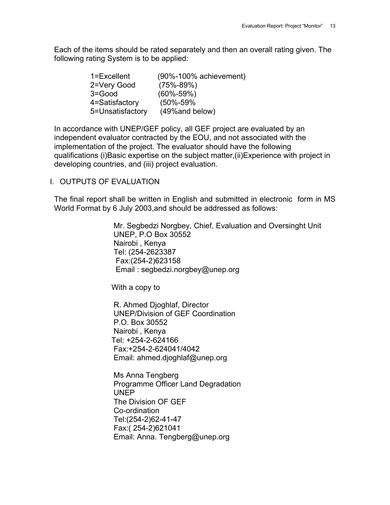Each of the items should be rated separately and then an overall rating given. The following rating System is to be applied:

| 1=Excellent      | $(90\% - 100\%$ achievement) |
|------------------|------------------------------|
| 2=Very Good      | $(75\% - 89\%)$              |
| $3 = Good$       | $(60\% - 59\%)$              |
| 4=Satisfactory   | $(50\% - 59\%$               |
| 5=Unsatisfactory | (49% and below)              |

In accordance with UNEP/GEF policy, all GEF project are evaluated by an independent evaluator contracted by the EOU, and not associated with the implementation of the project. The evaluator should have the following qualifications (i)Basic expertise on the subject matter,(ii)Experience with project in developing countries, and (iii) project evaluation.

### I. OUTPUTS OF EVALUATION

The final report shall be written in English and submitted in electronic form in MS World Format by 6 July 2003,and should be addressed as follows:

> Mr. Segbedzi Norgbey, Chief, Evaluation and Oversinght Unit UNEP, P.O Box 30552 Nairobi , Kenya Tel: (254-2623387 Fax:(254-2)623158 Email : [segbedzi.norgbey@unep.org](mailto:segbedzi.norgbey@unep.org)

With a copy to

 R. Ahmed Djoghlaf, Director UNEP/Division of GEF Coordination P.O. Box 30552 Nairobi , Kenya Tel: +254-2-624166 Fax:+254-2-624041/4042 Email: [ahmed.djoghlaf@unep.org](mailto:ahmed.djoghlaf@unep.org)

 Ms Anna Tengberg Programme Officer Land Degradation UNEP The Division OF GEF Co-ordination Tel:(254-2)62-41-47 Fax:( 254-2)621041 Email: Anna. [Tengberg@unep.org](mailto:Tengberg@unep.org)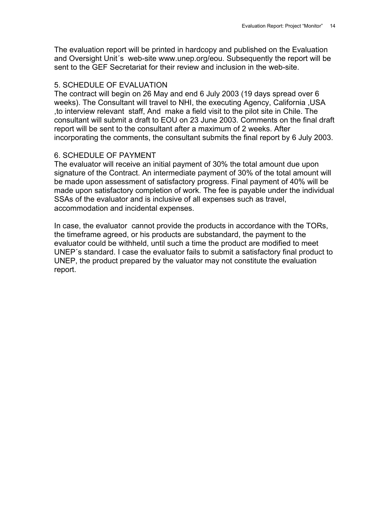The evaluation report will be printed in hardcopy and published on the Evaluation and Oversight Unit´s web-site [www.unep.org/eou.](http://www.unep.org/eou) Subsequently the report will be sent to the GEF Secretariat for their review and inclusion in the web-site.

### 5. SCHEDULE OF EVALUATION

The contract will begin on 26 May and end 6 July 2003 (19 days spread over 6 weeks). The Consultant will travel to NHI, the executing Agency, California ,USA ,to interview relevant staff, And make a field visit to the pilot site in Chile. The consultant will submit a draft to EOU on 23 June 2003. Comments on the final draft report will be sent to the consultant after a maximum of 2 weeks. After incorporating the comments, the consultant submits the final report by 6 July 2003.

### 6. SCHEDULE OF PAYMENT

The evaluator will receive an initial payment of 30% the total amount due upon signature of the Contract. An intermediate payment of 30% of the total amount will be made upon assessment of satisfactory progress. Final payment of 40% will be made upon satisfactory completion of work. The fee is payable under the individual SSAs of the evaluator and is inclusive of all expenses such as travel, accommodation and incidental expenses.

In case, the evaluator cannot provide the products in accordance with the TORs, the timeframe agreed, or his products are substandard, the payment to the evaluator could be withheld, until such a time the product are modified to meet UNEP´s standard. I case the evaluator fails to submit a satisfactory final product to UNEP, the product prepared by the valuator may not constitute the evaluation report.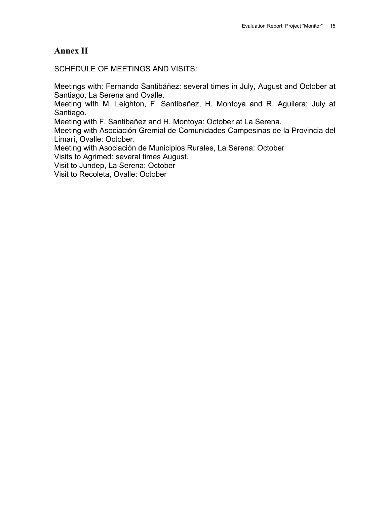# **Annex II**

SCHEDULE OF MEETINGS AND VISITS:

Meetings with: Fernando Santibáñez: several times in July, August and October at Santiago, La Serena and Ovalle.

Meeting with M. Leighton, F. Santibañez, H. Montoya and R. Aguilera: July at Santiago.

Meeting with F. Santibañez and H. Montoya: October at La Serena.

Meeting with Asociación Gremial de Comunidades Campesinas de la Provincia del Limarí, Ovalle: October.

Meeting with Asociación de Municipios Rurales, La Serena: October

Visits to Agrimed: several times August.

Visit to Jundep, La Serena: October

Visit to Recoleta, Ovalle: October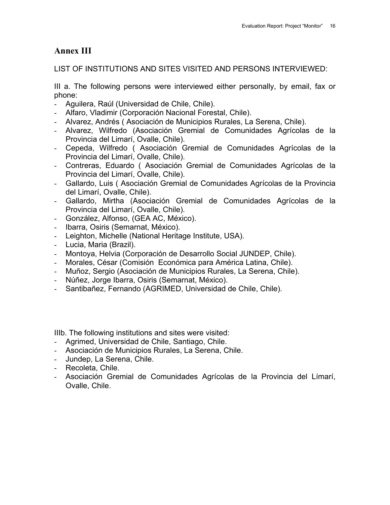# **Annex III**

LIST OF INSTITUTIONS AND SITES VISITED AND PERSONS INTERVIEWED:

III a. The following persons were interviewed either personally, by email, fax or phone:

- Aguilera, Raúl (Universidad de Chile, Chile).
- Alfaro, Vladimir (Corporación Nacional Forestal, Chile).
- Alvarez, Andrés ( Asociación de Municipios Rurales, La Serena, Chile).
- Alvarez, Wilfredo (Asociación Gremial de Comunidades Agrícolas de la Provincia del Limarí, Ovalle, Chile).
- Cepeda, Wilfredo ( Asociación Gremial de Comunidades Agrícolas de la Provincia del Limarí, Ovalle, Chile).
- Contreras, Eduardo ( Asociación Gremial de Comunidades Agrícolas de la Provincia del Limarí, Ovalle, Chile).
- Gallardo, Luis ( Asociación Gremial de Comunidades Agrícolas de la Provincia del Limarí, Ovalle, Chile).
- Gallardo, Mirtha (Asociación Gremial de Comunidades Agrícolas de la Provincia del Limarí, Ovalle, Chile).
- González, Alfonso, (GEA AC, México).
- Ibarra, Osiris (Semarnat, México).
- Leighton, Michelle (National Heritage Institute, USA).
- Lucia, Maria (Brazil).
- Montoya, Helvia (Corporación de Desarrollo Social JUNDEP, Chile).
- Morales, César (Comisión Económica para América Latina, Chile).
- Muñoz, Sergio (Asociación de Municipios Rurales, La Serena, Chile).
- Núñez, Jorge Ibarra, Osiris (Semarnat, México).
- Santibañez, Fernando (AGRIMED, Universidad de Chile, Chile).

IIIb. The following institutions and sites were visited:

- Agrimed, Universidad de Chile, Santiago, Chile.
- Asociación de Municipios Rurales, La Serena, Chile.
- Jundep, La Serena, Chile.
- Recoleta, Chile.
- Asociación Gremial de Comunidades Agrícolas de la Provincia del Límarí, Ovalle, Chile.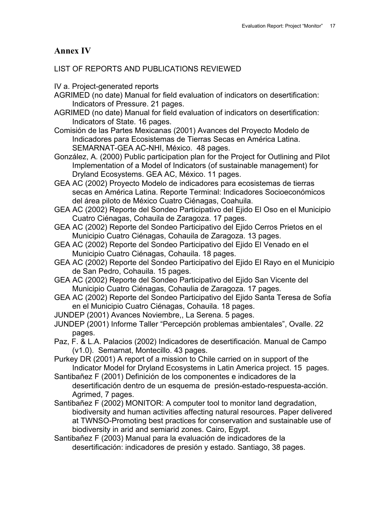# **Annex IV**

### LIST OF REPORTS AND PUBLICATIONS REVIEWED

- IV a. Project-generated reports
- AGRIMED (no date) Manual for field evaluation of indicators on desertification: Indicators of Pressure. 21 pages.
- AGRIMED (no date) Manual for field evaluation of indicators on desertification: Indicators of State. 16 pages.
- Comisión de las Partes Mexicanas (2001) Avances del Proyecto Modelo de Indicadores para Ecosistemas de Tierras Secas en América Latina. SEMARNAT-GEA AC-NHI, México. 48 pages.
- González, A. (2000) Public participation plan for the Project for Outlining and Pilot Implementation of a Model of Indicators (of sustainable management) for Dryland Ecosystems. GEA AC, México. 11 pages.
- GEA AC (2002) Proyecto Modelo de indicadores para ecosistemas de tierras secas en América Latina. Reporte Terminal: Indicadores Socioeconómicos del área piloto de México Cuatro Ciénagas, Coahuila.
- GEA AC (2002) Reporte del Sondeo Participativo del Ejido El Oso en el Municipio Cuatro Ciénagas, Cohauila de Zaragoza. 17 pages.
- GEA AC (2002) Reporte del Sondeo Participativo del Ejido Cerros Prietos en el Municipio Cuatro Ciénagas, Cohauila de Zaragoza. 13 pages.
- GEA AC (2002) Reporte del Sondeo Participativo del Ejido El Venado en el Municipio Cuatro Ciénagas, Cohauila. 18 pages.
- GEA AC (2002) Reporte del Sondeo Participativo del Ejido El Rayo en el Municipio de San Pedro, Cohauila. 15 pages.
- GEA AC (2002) Reporte del Sondeo Participativo del Ejido San Vicente del Municipio Cuatro Ciénagas, Cohaulia de Zaragoza. 17 pages.
- GEA AC (2002) Reporte del Sondeo Participativo del Ejido Santa Teresa de Sofía en el Municipio Cuatro Ciénagas, Cohauila. 18 pages.
- JUNDEP (2001) Avances Noviembre,, La Serena. 5 pages.
- JUNDEP (2001) Informe Taller "Percepción problemas ambientales", Ovalle. 22 pages.
- Paz, F. & L.A. Palacios (2002) Indicadores de desertificación. Manual de Campo (v1.0). Semarnat, Montecillo. 43 pages.
- Purkey DR (2001) A report of a mission to Chile carried on in support of the Indicator Model for Dryland Ecosystems in Latin America project. 15 pages.
- Santibañez F (2001) Definición de los componentes e indicadores de la desertificación dentro de un esquema de presión-estado-respuesta-acción. Agrimed, 7 pages.
- Santibañez F (2002) MONITOR: A computer tool to monitor land degradation, biodiversity and human activities affecting natural resources. Paper delivered at TWNSO-Promoting best practices for conservation and sustainable use of biodiversity in arid and semiarid zones. Cairo, Egypt.
- Santibañez F (2003) Manual para la evaluación de indicadores de la desertificación: indicadores de presión y estado. Santiago, 38 pages.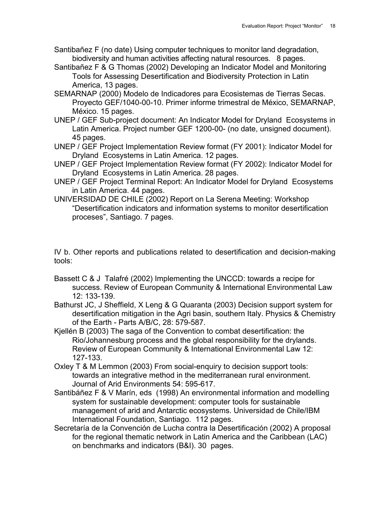- Santibañez F (no date) Using computer techniques to monitor land degradation, biodiversity and human activities affecting natural resources. 8 pages.
- Santibañez F & G Thomas (2002) Developing an Indicator Model and Monitoring Tools for Assessing Desertification and Biodiversity Protection in Latin America, 13 pages.
- SEMARNAP (2000) Modelo de Indicadores para Ecosistemas de Tierras Secas. Proyecto GEF/1040-00-10. Primer informe trimestral de México, SEMARNAP, México. 15 pages.
- UNEP / GEF Sub-project document: An Indicator Model for Dryland Ecosystems in Latin America. Project number GEF 1200-00- (no date, unsigned document). 45 pages.
- UNEP / GEF Project Implementation Review format (FY 2001): Indicator Model for Dryland Ecosystems in Latin America. 12 pages.
- UNEP / GEF Project Implementation Review format (FY 2002): Indicator Model for Dryland Ecosystems in Latin America. 28 pages.
- UNEP / GEF Project Terminal Report: An Indicator Model for Dryland Ecosystems in Latin America. 44 pages.
- UNIVERSIDAD DE CHILE (2002) Report on La Serena Meeting: Workshop "Desertification indicators and information systems to monitor desertification proceses", Santiago. 7 pages.

IV b. Other reports and publications related to desertification and decision-making tools:

- Bassett C & J Talafré (2002) Implementing the UNCCD: towards a recipe for success. Review of European Community & International Environmental Law 12: 133-139.
- Bathurst JC, J Sheffield, X Leng & G Quaranta (2003) Decision support system for desertification mitigation in the Agri basin, southern Italy. Physics & Chemistry of the Earth - Parts A/B/C, 28: 579-587.
- Kjellén B (2003) The saga of the Convention to combat desertification: the Rio/Johannesburg process and the global responsibility for the drylands. Review of European Community & International Environmental Law 12: 127-133.
- Oxley T & M Lemmon (2003) From social-enquiry to decision support tools: towards an integrative method in the mediterranean rural environment. Journal of Arid Environments 54: 595-617.
- Santibáñez F & V Marín, eds (1998) An environmental information and modelling system for sustainable development: computer tools for sustainable management of arid and Antarctic ecosystems. Universidad de Chile/IBM International Foundation, Santiago. 112 pages.
- Secretaría de la Convención de Lucha contra la Desertificación (2002) A proposal for the regional thematic network in Latin America and the Caribbean (LAC) on benchmarks and indicators (B&I). 30 pages.